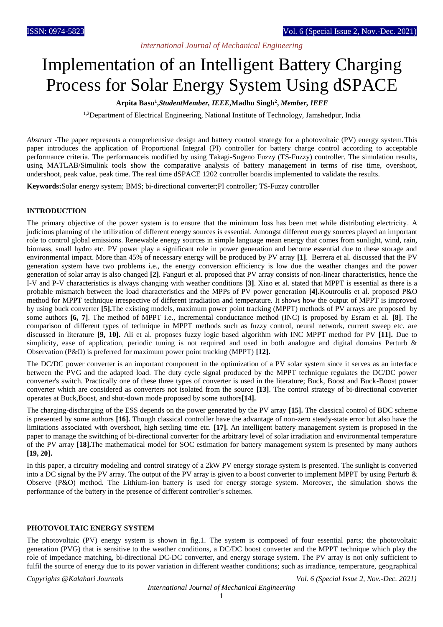# *International Journal of Mechanical Engineering*

# Implementation of an Intelligent Battery Charging Process for Solar Energy System Using dSPACE

# **Arpita Basu<sup>1</sup> ,***StudentMember, IEEE***,Madhu Singh<sup>2</sup> ,** *Member, IEEE*

<sup>1,2</sup>Department of Electrical Engineering, National Institute of Technology, Jamshedpur, India

*Abstract -*The paper represents a comprehensive design and battery control strategy for a photovoltaic (PV) energy system.This paper introduces the application of Proportional Integral (PI) controller for battery charge control according to acceptable performance criteria. The performanceis modified by using Takagi-Sugeno Fuzzy (TS-Fuzzy) controller. The simulation results, using MATLAB/Simulink tools show the comparative analysis of battery management in terms of rise time, overshoot, undershoot, peak value, peak time. The real time dSPACE 1202 controller boardis implemented to validate the results.

**Keywords:**Solar energy system; BMS; bi-directional converter;PI controller; TS-Fuzzy controller

#### **INTRODUCTION**

The primary objective of the power system is to ensure that the minimum loss has been met while distributing electricity. A judicious planning of the utilization of different energy sources is essential. Amongst different energy sources played an important role to control global emissions. Renewable energy sources in simple language mean energy that comes from sunlight, wind, rain, biomass, small hydro etc. PV power play a significant role in power generation and become essential due to these storage and environmental impact. More than 45% of necessary energy will be produced by PV array **[1]**. Berrera et al. discussed that the PV generation system have two problems i.e., the energy conversion efficiency is low due the weather changes and the power generation of solar array is also changed **[2]**. Fanguri et al. proposed that PV array consists of non-linear characteristics, hence the I-V and P-V characteristics is always changing with weather conditions **[3]**. Xiao et al. stated that MPPT is essential as there is a probable mismatch between the load characteristics and the MPPs of PV power generation **[4].**Koutroulis et al. proposed P&O method for MPPT technique irrespective of different irradiation and temperature. It shows how the output of MPPT is improved by using buck converter **[5].**The existing models, maximum power point tracking (MPPT) methods of PV arrays are proposed by some authors **[6, 7]**. The method of MPPT i.e., incremental conductance method (INC) is proposed by Esram et al. **[8]**. The comparison of different types of technique in MPPT methods such as fuzzy control, neural network, current sweep etc. are discussed in literature **[9, 10].** Ali et al. proposes fuzzy logic based algorithm with INC MPPT method for PV **[11].** Due to simplicity, ease of application, periodic tuning is not required and used in both analogue and digital domains Perturb & Observation (P&O) is preferred for maximum power point tracking (MPPT) **[12].**

The DC/DC power converter is an important component in the optimization of a PV solar system since it serves as an interface between the PVG and the adapted load. The duty cycle signal produced by the MPPT technique regulates the DC/DC power converter's switch. Practically one of these three types of converter is used in the literature; Buck, Boost and Buck-Boost power converter which are considered as converters not isolated from the source **[13]**. The control strategy of bi-directional converter operates at Buck,Boost, and shut-down mode proposed by some authors**[14].**

The charging-discharging of the ESS depends on the power generated by the PV array **[15].** The classical control of BDC scheme is presented by some authors **[16].** Though classical controller have the advantage of non-zero steady-state error but also have the limitations associated with overshoot, high settling time etc. **[17].** An intelligent battery management system is proposed in the paper to manage the switching of bi-directional converter for the arbitrary level of solar irradiation and environmental temperature of the PV array **[18].**The mathematical model for SOC estimation for battery management system is presented by many authors **[19, 20].**

In this paper, a circuitry modeling and control strategy of a 2kW PV energy storage system is presented. The sunlight is converted into a DC signal by the PV array. The output of the PV array is given to a boost converter to implement MPPT by using Perturb & Observe (P&O) method. The Lithium-ion battery is used for energy storage system. Moreover, the simulation shows the performance of the battery in the presence of different controller's schemes.

## **PHOTOVOLTAIC ENERGY SYSTEM**

The photovoltaic (PV) energy system is shown in fig.1. The system is composed of four essential parts; the photovoltaic generation (PVG) that is sensitive to the weather conditions, a DC/DC boost converter and the MPPT technique which play the role of impedance matching, bi-directional DC-DC converter, and energy storage system. The PV array is not only sufficient to fulfil the source of energy due to its power variation in different weather conditions; such as irradiance, temperature, geographical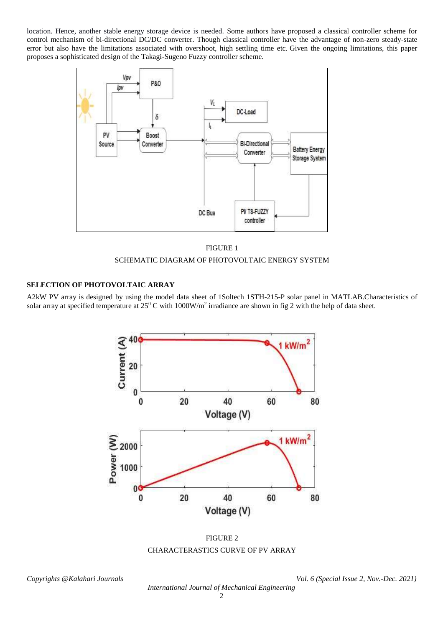location. Hence, another stable energy storage device is needed. Some authors have proposed a classical controller scheme for control mechanism of bi-directional DC/DC converter. Though classical controller have the advantage of non-zero steady-state error but also have the limitations associated with overshoot, high settling time etc. Given the ongoing limitations, this paper proposes a sophisticated design of the Takagi-Sugeno Fuzzy controller scheme.



FIGURE 1

# SCHEMATIC DIAGRAM OF PHOTOVOLTAIC ENERGY SYSTEM

# **SELECTION OF PHOTOVOLTAIC ARRAY**

A2kW PV array is designed by using the model data sheet of 1Soltech 1STH-215-P solar panel in MATLAB.Characteristics of solar array at specified temperature at  $25^0$  C with  $1000$ W/m<sup>2</sup> irradiance are shown in fig 2 with the help of data sheet.



FIGURE 2 CHARACTERASTICS CURVE OF PV ARRAY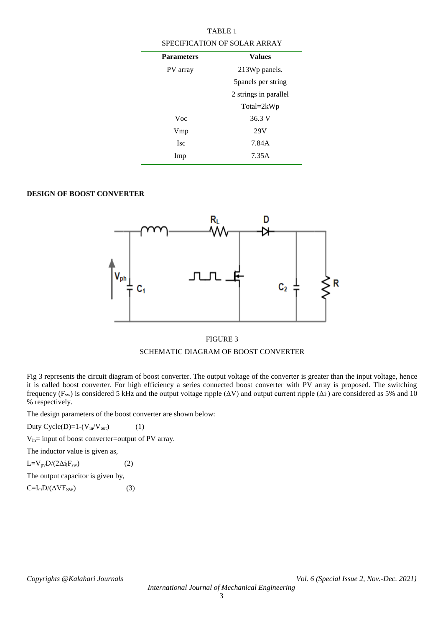| <b>TABLE 1</b>                      |                       |  |  |  |
|-------------------------------------|-----------------------|--|--|--|
| <b>SPECIFICATION OF SOLAR ARRAY</b> |                       |  |  |  |
| <b>Parameters</b>                   | <b>Values</b>         |  |  |  |
| PV array                            | 213Wp panels.         |  |  |  |
|                                     | 5 panels per string   |  |  |  |
|                                     | 2 strings in parallel |  |  |  |
|                                     | Total=2kWp            |  |  |  |
| Voc                                 | 36.3 V                |  |  |  |
| Vmp                                 | 29V                   |  |  |  |
| <b>Isc</b>                          | 7.84A                 |  |  |  |
| Imp                                 | 7.35A                 |  |  |  |
|                                     |                       |  |  |  |

# **DESIGN OF BOOST CONVERTER**



# FIGURE 3

# SCHEMATIC DIAGRAM OF BOOST CONVERTER

Fig 3 represents the circuit diagram of boost converter. The output voltage of the converter is greater than the input voltage, hence it is called boost converter. For high efficiency a series connected boost converter with PV array is proposed. The switching frequency (F<sub>sw</sub>) is considered 5 kHz and the output voltage ripple ( $\Delta V$ ) and output current ripple ( $\Delta i_l$ ) are considered as 5% and 10 % respectively.

The design parameters of the boost converter are shown below:

Duty Cycle(D)=1- $(V_{in}/V_{out})$  (1)

Vin= input of boost converter=output of PV array.

The inductor value is given as,

 $L=V_{pv}D/(2\Delta i_lF_{sw})$  (2)

The output capacitor is given by,

 $C = I_0 D / (\Delta V F_{SW})$  (3)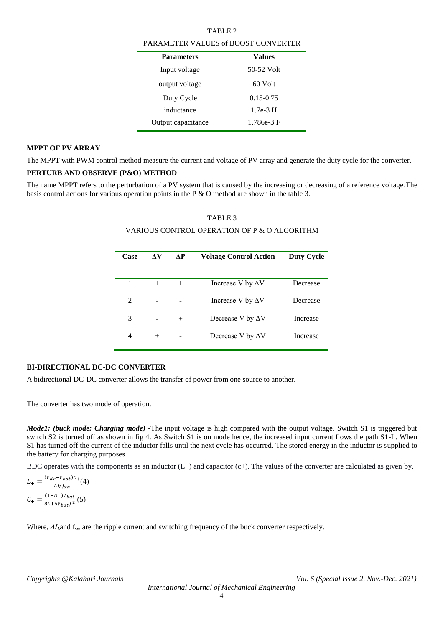#### TABLE 2

#### PARAMETER VALUES of BOOST CONVERTER

| <b>Parameters</b>  | Values        |  |  |
|--------------------|---------------|--|--|
| Input voltage      | 50-52 Volt    |  |  |
| output voltage     | 60 Volt       |  |  |
| Duty Cycle         | $0.15 - 0.75$ |  |  |
| inductance         | $1.7e-3$ H    |  |  |
| Output capacitance | 1.786e-3 F    |  |  |
|                    |               |  |  |

#### **MPPT OF PV ARRAY**

The MPPT with PWM control method measure the current and voltage of PV array and generate the duty cycle for the converter.

#### **PERTURB AND OBSERVE (P&O) METHOD**

The name MPPT refers to the perturbation of a PV system that is caused by the increasing or decreasing of a reference voltage.The basis control actions for various operation points in the P & O method are shown in the table 3.

#### TABLE 3

#### VARIOUS CONTROL OPERATION OF P & O ALGORITHM

| АV     | ЛP     | <b>Voltage Control Action</b> | <b>Duty Cycle</b> |
|--------|--------|-------------------------------|-------------------|
|        |        |                               |                   |
| $+$    | $+$    | Increase V by $\Delta V$      | Decrease          |
|        |        | Increase V by $\Delta V$      | Decrease          |
|        | $^{+}$ | Decrease V by $\Delta V$      | Increase          |
| $^{+}$ |        | Decrease V by $\Delta V$      | Increase          |
|        |        |                               |                   |

#### **BI-DIRECTIONAL DC-DC CONVERTER**

A bidirectional DC-DC converter allows the transfer of power from one source to another.

The converter has two mode of operation.

*Mode1: (buck mode: Charging mode) -*The input voltage is high compared with the output voltage. Switch S1 is triggered but switch S2 is turned off as shown in fig 4. As Switch S1 is on mode hence, the increased input current flows the path S1-L. When S1 has turned off the current of the inductor falls until the next cycle has occurred. The stored energy in the inductor is supplied to the battery for charging purposes.

BDC operates with the components as an inductor  $(L+)$  and capacitor  $(c+)$ . The values of the converter are calculated as given by,

$$
L_{+} = \frac{(V_{dc} - V_{bat})D_{+}}{\Delta l_{L}f_{sw}}(4)
$$

$$
C_{+} = \frac{(1 - D_{+})V_{bat}}{8L + \Delta V_{bat}f^{2}}(5)
$$

Where,  $\Delta I_L$ and f<sub>sw</sub> are the ripple current and switching frequency of the buck converter respectively.

*Copyrights @Kalahari Journals Vol. 6 (Special Issue 2, Nov.-Dec. 2021)*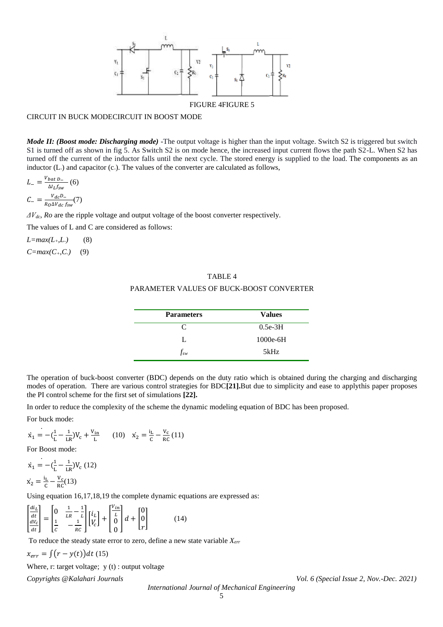

#### CIRCUIT IN BUCK MODECIRCUIT IN BOOST MODE

*Mode II: (Boost mode: Discharging mode)* -The output voltage is higher than the input voltage. Switch S2 is triggered but switch S1 is turned off as shown in fig 5. As Switch S2 is on mode hence, the increased input current flows the path S2-L. When S2 has turned off the current of the inductor falls until the next cycle. The stored energy is supplied to the load. The components as an inductor (L.) and capacitor (c.). The values of the converter are calculated as follows,

$$
L_{-} = \frac{V_{bat D_{-}}}{\Delta l_{L f_{sw}}} (6)
$$

$$
C_{-} = \frac{V_{dc}D_{-}}{R_{0}\Delta V_{dc}f_{sw}} (7)
$$

*ΔVdc, Ro* are the ripple voltage and output voltage of the boost converter respectively.

The values of L and C are considered as follows:

*L=max(L+,L-)* (8)

*C=max(C+,C-)* (9)

# TABLE 4 PARAMETER VALUES OF BUCK-BOOST CONVERTER

| <b>Parameters</b> | <b>Values</b> |
|-------------------|---------------|
| C                 | $0.5e-3H$     |
|                   | $1000e-6H$    |
| $f_{\mathrm sw}$  | 5kHz          |

The operation of buck-boost converter (BDC) depends on the duty ratio which is obtained during the charging and discharging modes of operation. There are various control strategies for BDC**[21].**But due to simplicity and ease to applythis paper proposes the PI control scheme for the first set of simulations **[22].**

In order to reduce the complexity of the scheme the dynamic modeling equation of BDC has been proposed.

For buck mode:

$$
\dot{x}_1 = -(\frac{1}{L} - \frac{1}{LR})V_c + \frac{V_{in}}{L}
$$
 (10) 
$$
\dot{x}_2 = \frac{i_L}{C} - \frac{V_c}{RC}
$$
 (11)

For Boost mode:

$$
\dot{x}_1 = -(\frac{1}{L} - \frac{1}{LR})V_c (12)
$$
  

$$
\dot{x}_2 = \frac{i_L}{c} - \frac{v_c}{RC}(13)
$$

Using equation 16,17,18,19 the complete dynamic equations are expressed as:

$$
\begin{bmatrix} \frac{di_L}{dt} \\ \frac{dV_c}{dt} \end{bmatrix} = \begin{bmatrix} 0 & \frac{1}{LR} - \frac{1}{L} \\ \frac{1}{C} & -\frac{1}{RC} \end{bmatrix} \begin{bmatrix} i_L \\ V_c \end{bmatrix} + \begin{bmatrix} \frac{V_{in}}{L} \\ 0 \\ 0 \end{bmatrix} d + \begin{bmatrix} 0 \\ 0 \\ r \end{bmatrix}
$$
(14)

To reduce the steady state error to zero, define a new state variable *Xerr*

 $x_{err} = \int (r - y(t)) dt$  (15)

Where, r: target voltage;  $y(t)$ : output voltage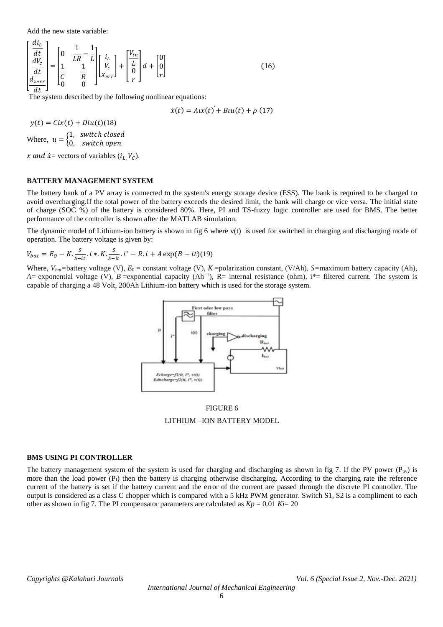Add the new state variable:

 $r$  di<sub> $i$ </sub>  $r$ 

$$
\begin{bmatrix}\n\frac{\partial L}{\partial t} \\
\frac{dV_c}{dt} \\
\frac{d_{xerr}}{dt}\n\end{bmatrix} = \begin{bmatrix}\n0 & \frac{1}{LR} - \frac{1}{L} \\
\frac{1}{C} & \frac{1}{R} \\
0 & 0\n\end{bmatrix} \begin{bmatrix}\ni_L \\
V_c \\
x_{err}\n\end{bmatrix} + \begin{bmatrix}\n\frac{V_{in}}{L} \\
0 \\
r\n\end{bmatrix} d + \begin{bmatrix}\n0 \\
0 \\
r\n\end{bmatrix}
$$
\n(16)

The system described by the following nonlinear equations:

$$
\dot{x}(t) = A\iota x(t) + Bu(t) + \rho(17)
$$

 $y(t) = Cix(t) + Diu(t)(18)$ Where,  $u = \begin{cases} 1, & \text{switch closed} \\ 0, & \text{switch open} \end{cases}$ 0, switch open

x and  $\dot{x}$  = vectors of variables ( $i_L$   $V_C$ ).

#### **BATTERY MANAGEMENT SYSTEM**

The battery bank of a PV array is connected to the system's energy storage device (ESS). The bank is required to be charged to avoid overcharging.If the total power of the battery exceeds the desired limit, the bank will charge or vice versa. The initial state of charge (SOC %) of the battery is considered 80%. Here, PI and TS-fuzzy logic controller are used for BMS. The better performance of the controller is shown after the MATLAB simulation.

The dynamic model of Lithium-ion battery is shown in fig 6 where v(t) is used for switched in charging and discharging mode of operation. The battery voltage is given by:

$$
V_{bat} = E_O - K \cdot \frac{S}{S - it} \cdot i * K \cdot \frac{S}{S - it} \cdot i^* - R \cdot i + A \exp(B - it)
$$
(19)

Where,  $V_{bat}$ =battery voltage (V),  $E_0$  = constant voltage (V),  $K$ =polarization constant, (V/Ah),  $S$ =maximum battery capacity (Ah), *A*= exponential voltage (V), *B* = exponential capacity (Ah<sup>-1</sup>), R= internal resistance (ohm), i<sup>\*</sup>= filtered current. The system is capable of charging a 48 Volt, 200Ah Lithium-ion battery which is used for the storage system.



FIGURE 6 LITHIUM –ION BATTERY MODEL

#### **BMS USING PI CONTROLLER**

The battery management system of the system is used for charging and discharging as shown in fig 7. If the PV power ( $P_{pv}$ ) is more than the load power  $(P_1)$  then the battery is charging otherwise discharging. According to the charging rate the reference current of the battery is set if the battery current and the error of the current are passed through the discrete PI controller. The output is considered as a class C chopper which is compared with a 5 kHz PWM generator. Switch S1, S2 is a compliment to each other as shown in fig 7. The PI compensator parameters are calculated as  $Kp = 0.01$   $Ki=20$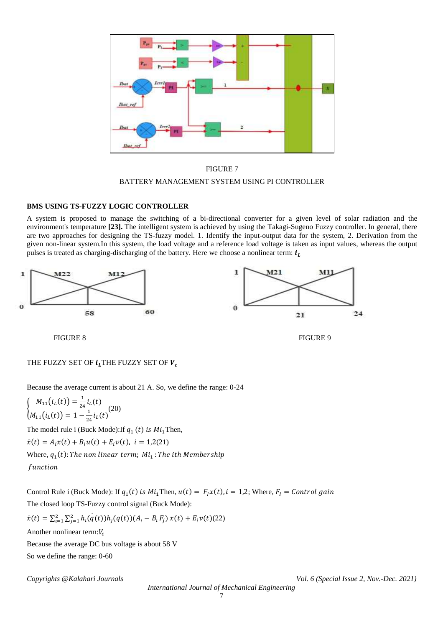



#### **BMS USING TS-FUZZY LOGIC CONTROLLER**

A system is proposed to manage the switching of a bi-directional converter for a given level of solar radiation and the environment's temperature [23]. The intelligent system is achieved by using the Takagi-Sugeno Fuzzy controller. In general, there are two approaches for designing the TS-fuzzy model. 1. Identify the input-output data for the system, 2. Derivation from the given non-linear system.In this system, the load voltage and a reference load voltage is taken as input values, whereas the output pulses is treated as charging-discharging of the battery. Here we choose a nonlinear term:  $i_l$ 



FIGURE 8 FIGURE 9

## THE FUZZY SET OF  $i_l$  THE FUZZY SET OF  $V_c$

Because the average current is about 21 A. So, we define the range: 0-24

$$
\begin{cases} M_{11}(i_L(t)) = \frac{1}{24} i_L(t) \\ M_{11}(i_L(t)) = 1 - \frac{1}{24} i_L(t) \end{cases} (20)
$$

The model rule i (Buck Mode): If  $q_1(t)$  is  $Mi_1$  Then,  $\dot{x}(t) = A_i x(t) + B_i u(t) + E_i v(t), i = 1,2(21)$ Where,  $q_1(t)$ : The non linear term; M $i_1$ : The ith Membership function

Control Rule i (Buck Mode): If  $q_1(t)$  is  $Mi_1$ Then,  $u(t) = F_I x(t)$ ,  $i = 1,2$ ; Where,  $F_I = Control$  gain The closed loop TS-Fuzzy control signal (Buck Mode):

$$
\dot{x}(t) = \sum_{i=1}^{2} \sum_{j=1}^{2} h_i(q(t))h_j(q(t))(A_i - B_i F_j) x(t) + E_i v(t)(22)
$$

Another nonlinear term: $V_c$ 

Because the average DC bus voltage is about 58 V So we define the range: 0-60

*Copyrights @Kalahari Journals Vol. 6 (Special Issue 2, Nov.-Dec. 2021)*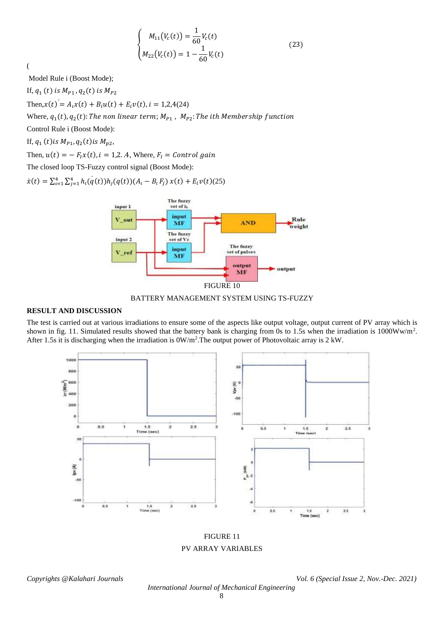$$
\begin{cases}\nM_{11}(V_c(t)) = \frac{1}{60} V_c(t) \\
M_{22}(V_c(t)) = 1 - \frac{1}{60} V_c(t)\n\end{cases}
$$
\n(23)

(

Model Rule i (Boost Mode);

If,  $q_1(t)$  is  $M_{P1}$ ,  $q_2(t)$  is  $M_{P2}$ 

Then, $x(t) = A_i x(t) + B_i u(t) + E_i v(t)$ ,  $i = 1,2,4(24)$ 

Where,  $q_1(t)$ ,  $q_2(t)$ : The non linear term;  $M_{P1}$  ,  $\ M_{P2}$ : The ith Membership function

Control Rule i (Boost Mode):

If,  $q_1(t)$  is  $M_{P1}$ ,  $q_2(t)$  is  $M_{p2}$ ,

Then,  $u(t) = -F_I x(t)$ ,  $i = 1,2...4$ , Where,  $F_I = Control$  gain

The closed loop TS-Fuzzy control signal (Boost Mode):

 $\dot{x}(t) = \sum_{i=1}^{4} \sum_{j=1}^{4} h_i(q(t))h_j(q(t))(A_i - B_i F_j) x(t) + E_i v(t)$ (25)



BATTERY MANAGEMENT SYSTEM USING TS-FUZZY

## **RESULT AND DISCUSSION**

The test is carried out at various irradiations to ensure some of the aspects like output voltage, output current of PV array which is shown in fig. 11. Simulated results showed that the battery bank is charging from 0s to 1.5s when the irradiation is 1000Ww/m<sup>2</sup>. After 1.5s it is discharging when the irradiation is  $0W/m^2$ . The output power of Photovoltaic array is 2 kW.



FIGURE 11 PV ARRAY VARIABLES

*Copyrights @Kalahari Journals Vol. 6 (Special Issue 2, Nov.-Dec. 2021)*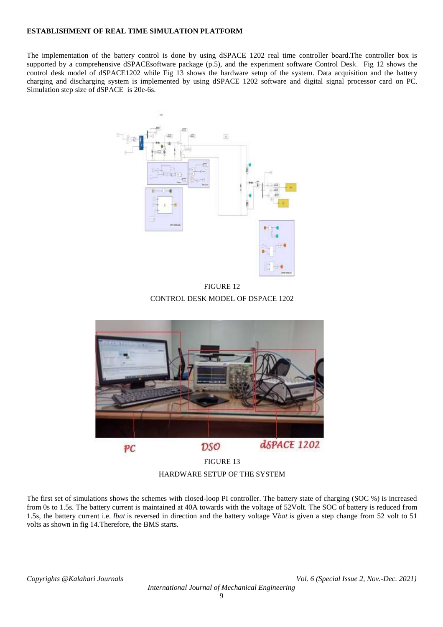#### **ESTABLISHMENT OF REAL TIME SIMULATION PLATFORM**

The implementation of the battery control is done by using dSPACE 1202 real time controller board.The controller box is supported by a comprehensive dSPACEsoftware package (p.5), and the experiment software Control Desk. Fig 12 shows the control desk model of dSPACE1202 while Fig 13 shows the hardware setup of the system. Data acquisition and the battery charging and discharging system is implemented by using dSPACE 1202 software and digital signal processor card on PC. Simulation step size of dSPACE is 20e-6s.



FIGURE 12 CONTROL DESK MODEL OF DSPACE 1202



HARDWARE SETUP OF THE SYSTEM

The first set of simulations shows the schemes with closed-loop PI controller. The battery state of charging (SOC %) is increased from 0s to 1.5s. The battery current is maintained at 40A towards with the voltage of 52Volt. The SOC of battery is reduced from 1.5s, the battery current i.e. *Ibat* is reversed in direction and the battery voltage V*bat* is given a step change from 52 volt to 51 volts as shown in fig 14.Therefore, the BMS starts.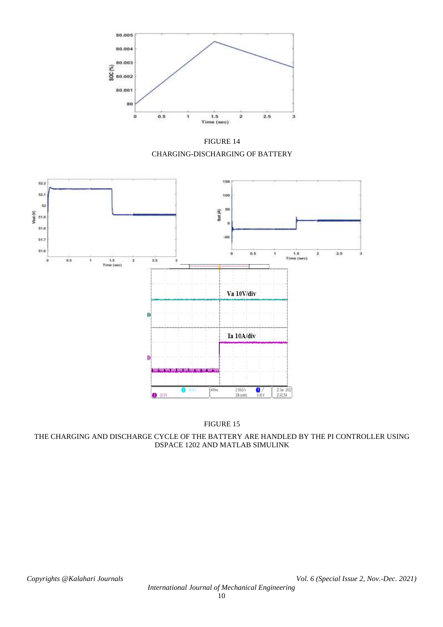

FIGURE 14 CHARGING-DISCHARGING OF BATTERY



FIGURE 15

THE CHARGING AND DISCHARGE CYCLE OF THE BATTERY ARE HANDLED BY THE PI CONTROLLER USING DSPACE 1202 AND MATLAB SIMULINK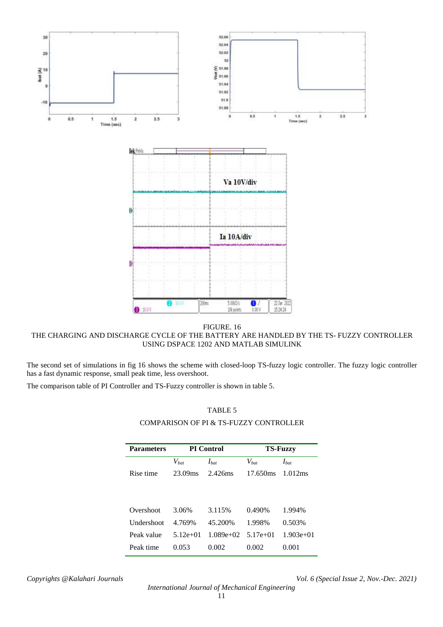

FIGURE. 16 THE CHARGING AND DISCHARGE CYCLE OF THE BATTERY ARE HANDLED BY THE TS- FUZZY CONTROLLER USING DSPACE 1202 AND MATLAB SIMULINK

The second set of simulations in fig 16 shows the scheme with closed-loop TS-fuzzy logic controller. The fuzzy logic controller has a fast dynamic response, small peak time, less overshoot.

The comparison table of PI Controller and TS-Fuzzy controller is shown in table 5.

#### TABLE 5

#### COMPARISON OF PI & TS-FUZZY CONTROLLER

| <b>Parameters</b> | <b>PI</b> Control |             | <b>TS-Fuzzy</b> |             |
|-------------------|-------------------|-------------|-----------------|-------------|
|                   | $V_{bat}$         | $I_{bat}$   | $V_{bat}$       | $I_{bat}$   |
| Rise time         | 23.09ms           | 2.426ms     | 17.650ms        | 1.012ms     |
|                   |                   |             |                 |             |
|                   |                   |             |                 |             |
| Overshoot         | 3.06%             | 3.115%      | 0.490%          | 1.994%      |
| <b>Undershoot</b> | 4.769%            | 45.200%     | 1.998%          | 0.503%      |
| Peak value        | $5.12e+01$        | $1.089e+02$ | $5.17e+01$      | $1.903e+01$ |
| Peak time         | 0.053             | 0.002       | 0.002           | 0.001       |

*International Journal of Mechanical Engineering*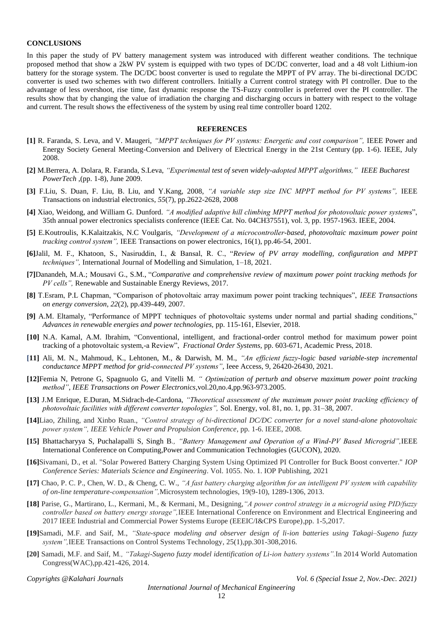#### **CONCLUSIONS**

In this paper the study of PV battery management system was introduced with different weather conditions. The technique proposed method that show a 2kW PV system is equipped with two types of DC/DC converter, load and a 48 volt Lithium-ion battery for the storage system. The DC/DC boost converter is used to regulate the MPPT of PV array. The bi-directional DC/DC converter is used two schemes with two different controllers. Initially a Current control strategy with PI controller. Due to the advantage of less overshoot, rise time, fast dynamic response the TS-Fuzzy controller is preferred over the PI controller. The results show that by changing the value of irradiation the charging and discharging occurs in battery with respect to the voltage and current. The result shows the effectiveness of the system by using real time controller board 1202.

#### **REFERENCES**

- **[1]** R. Faranda, S. Leva, and V. Maugeri, *"MPPT techniques for PV systems: Energetic and cost comparison",* IEEE Power and Energy Society General Meeting-Conversion and Delivery of Electrical Energy in the 21st Century (pp. 1-6). IEEE, July 2008.
- **[2]** M.Berrera, A. Dolara, R. Faranda, S.Leva, *"Experimental test of seven widely-adopted MPPT algorithms," IEEE Bucharest PowerTech* ,(pp. 1-8), June 2009.
- **[3]** F.Liu, S. Duan, F. Liu, B. Liu, and Y.Kang, 2008, *"A variable step size INC MPPT method for PV systems",* IEEE Transactions on industrial electronics, *55*(7), pp.2622-2628, 2008
- **[4]** Xiao, Weidong, and William G. Dunford. *"A modified adaptive hill climbing MPPT method for photovoltaic power system*s", 35th annual power electronics specialists conference (IEEE Cat. No. 04CH37551), vol. 3, pp. 1957-1963. IEEE, 2004.
- **[5]** E.Koutroulis, K.Kalaitzakis, N.C Voulgaris, *"Development of a microcontroller-based, photovoltaic maximum power point tracking control system",* IEEE Transactions on power electronics, 16(1), pp.46-54, 2001.
- **[6]**Jalil, M. F., Khatoon, S., Nasiruddin, I., & Bansal, R. C., "*Review of PV array modelling, configuration and MPPT techniques",* International Journal of Modelling and Simulation, 1–18, 2021.
- **[7]**Danandeh, M.A.; Mousavi G., S.M., "*Comparative and comprehensive review of maximum power point tracking methods for PV cells",* Renewable and Sustainable Energy Reviews, 2017.
- **[8]** T.Esram, P.L Chapman, "Comparison of photovoltaic array maximum power point tracking techniques", *IEEE Transactions on energy conversion*, *22*(2), pp.439-449, 2007.
- **[9]** A.M. Eltamaly, "Performance of MPPT techniques of photovoltaic systems under normal and partial shading conditions," *Advances in renewable energies and power technologies,* pp. 115-161, Elsevier, 2018.
- **[10]** N.A. Kamal, A.M. Ibrahim, "Conventional, intelligent, and fractional-order control method for maximum power point tracking of a photovoltaic system,-a Review", *Fractional Order Systems,* pp. 603-671, Academic Press, 2018.
- **[11]** Ali, M. N., Mahmoud, K., Lehtonen, M., & Darwish, M. M., *"An efficient fuzzy-logic based variable-step incremental conductance MPPT method for grid-connected PV systems"*, Ieee Access, 9, 26420-26430, 2021.
- **[12]**Femia N, Petrone G, Spagnuolo G, and Vitelli M. *" Optimization of perturb and observe maximum power point tracking method"*, *IEEE Transactions on Power Electronics*,vol.20,no.4,pp.963-973.2005.
- **[13]** J.M Enrique, E.Duran, M.Sidrach-de-Cardona, *"Theoretical assessment of the maximum power point tracking efficiency of photovoltaic facilities with different converter topologies",* Sol. Energy, vol. 81, no. 1, pp. 31–38, 2007.
- **[14]**Liao, Zhiling, and Xinbo Ruan., *"Control strategy of bi-directional DC/DC converter for a novel stand-alone photovoltaic power system", IEEE Vehicle Power and Propulsion Conference*, pp. 1-6. IEEE, 2008.
- **[15]** Bhattacharyya S, Puchalapalli S, Singh B*., "Battery Management and Operation of a Wind-PV Based Microgrid",*IEEE International Conference on Computing,Power and Communication Technologies (GUCON), 2020.
- **[16]**Sivamani, D., et al. "Solar Powered Battery Charging System Using Optimized PI Controller for Buck Boost converter." *IOP Conference Series: Materials Science and Engineering*. Vol. 1055. No. 1. IOP Publishing, 2021
- **[17]** Chao, P. C. P., Chen, W. D., & Cheng, C. W., *"A fast battery charging algorithm for an intelligent PV system with capability of on-line temperature-compensation",*Microsystem technologies, 19(9-10), 1289-1306, 2013.
- **[18]** Parise, G., Martirano, L., Kermani, M., & Kermani, M., Designing,*"A power control strategy in a microgrid using PID/fuzzy controller based on battery energy storage",*IEEE International Conference on Environment and Electrical Engineering and 2017 IEEE Industrial and Commercial Power Systems Europe (EEEIC/I&CPS Europe),pp. 1-5,2017.
- **[19]**Samadi, M.F. and Saif, M., *"State-space modeling and observer design of li-ion batteries using Takagi–Sugeno fuzzy system",*IEEE Transactions on Control Systems Technology, 25(1),pp.301-308,2016.
- **[20]** Samadi, M.F. and Saif, M*., "Takagi-Sugeno fuzzy model identification of Li-ion battery systems".*In 2014 World Automation Congress(WAC),pp.421-426, 2014.